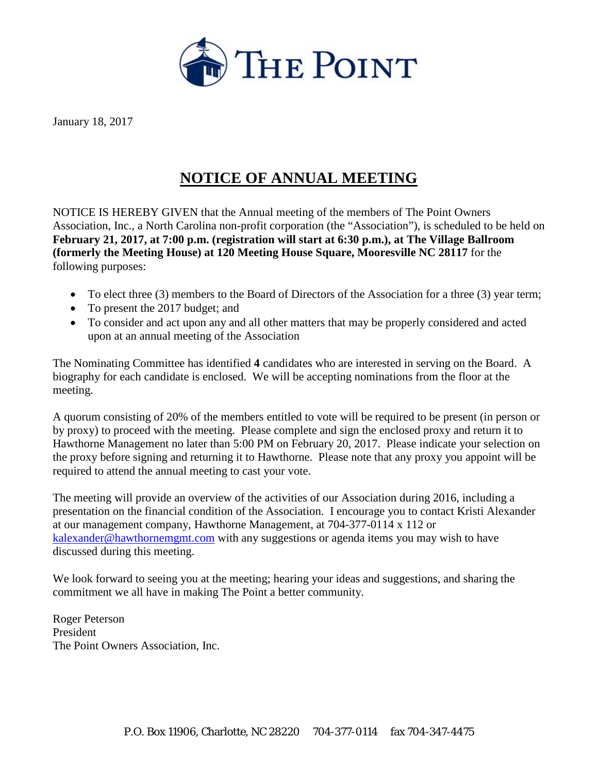

January 18, 2017

## **NOTICE OF ANNUAL MEETING**

NOTICE IS HEREBY GIVEN that the Annual meeting of the members of The Point Owners Association, Inc., a North Carolina non-profit corporation (the "Association"), is scheduled to be held on **February 21, 2017, at 7:00 p.m. (registration will start at 6:30 p.m.), at The Village Ballroom (formerly the Meeting House) at 120 Meeting House Square, Mooresville NC 28117** for the following purposes:

- To elect three (3) members to the Board of Directors of the Association for a three (3) year term;
- To present the 2017 budget; and
- To consider and act upon any and all other matters that may be properly considered and acted upon at an annual meeting of the Association

The Nominating Committee has identified **4** candidates who are interested in serving on the Board. A biography for each candidate is enclosed. We will be accepting nominations from the floor at the meeting.

A quorum consisting of 20% of the members entitled to vote will be required to be present (in person or by proxy) to proceed with the meeting. Please complete and sign the enclosed proxy and return it to Hawthorne Management no later than 5:00 PM on February 20, 2017. Please indicate your selection on the proxy before signing and returning it to Hawthorne. Please note that any proxy you appoint will be required to attend the annual meeting to cast your vote.

The meeting will provide an overview of the activities of our Association during 2016, including a presentation on the financial condition of the Association. I encourage you to contact Kristi Alexander at our management company, Hawthorne Management, at 704-377-0114 x 112 or [kalexander@hawthornemgmt.com](mailto:kalexander@hawthornemgmt.com) with any suggestions or agenda items you may wish to have discussed during this meeting.

We look forward to seeing you at the meeting; hearing your ideas and suggestions, and sharing the commitment we all have in making The Point a better community.

Roger Peterson President The Point Owners Association, Inc.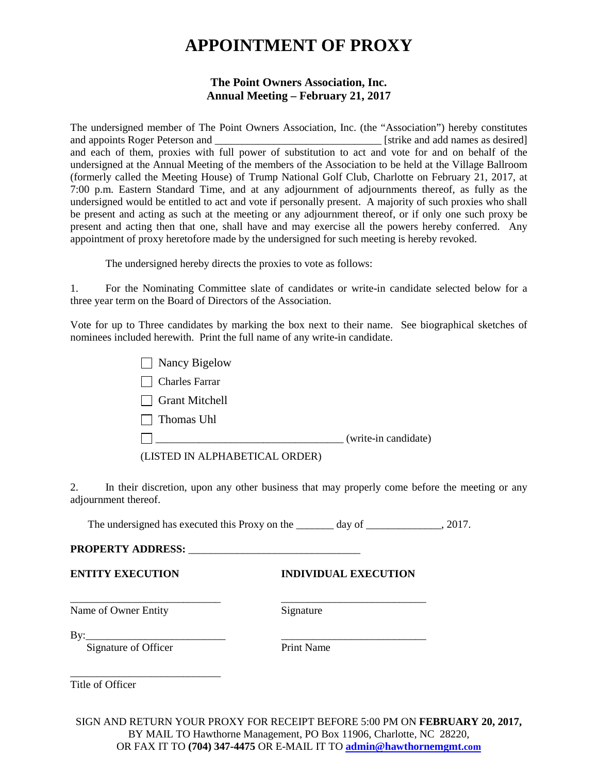# **APPOINTMENT OF PROXY**

### **The Point Owners Association, Inc. Annual Meeting – February 21, 2017**

The undersigned member of The Point Owners Association, Inc. (the "Association") hereby constitutes and appoints Roger Peterson and \_\_\_\_\_\_\_\_\_\_\_\_\_\_\_\_\_\_\_\_\_\_\_\_\_\_\_\_\_\_\_ [strike and add names as desired] and each of them, proxies with full power of substitution to act and vote for and on behalf of the undersigned at the Annual Meeting of the members of the Association to be held at the Village Ballroom (formerly called the Meeting House) of Trump National Golf Club, Charlotte on February 21, 2017, at 7:00 p.m. Eastern Standard Time, and at any adjournment of adjournments thereof, as fully as the undersigned would be entitled to act and vote if personally present. A majority of such proxies who shall be present and acting as such at the meeting or any adjournment thereof, or if only one such proxy be present and acting then that one, shall have and may exercise all the powers hereby conferred. Any appointment of proxy heretofore made by the undersigned for such meeting is hereby revoked.

The undersigned hereby directs the proxies to vote as follows:

1. For the Nominating Committee slate of candidates or write-in candidate selected below for a three year term on the Board of Directors of the Association.

Vote for up to Three candidates by marking the box next to their name. See biographical sketches of nominees included herewith. Print the full name of any write-in candidate.

> Nancy Bigelow Charles Farrar Grant Mitchell  $\Box$  Thomas Uhl

\_\_\_\_\_\_\_\_\_\_\_\_\_\_\_\_\_\_\_\_\_\_\_\_\_\_\_\_\_\_\_\_\_\_\_ (write-in candidate)

(LISTED IN ALPHABETICAL ORDER)

2. In their discretion, upon any other business that may properly come before the meeting or any adjournment thereof.

The undersigned has executed this Proxy on the \_\_\_\_\_\_\_ day of \_\_\_\_\_\_\_\_\_\_\_\_, 2017.

\_\_\_\_\_\_\_\_\_\_\_\_\_\_\_\_\_\_\_\_\_\_\_\_\_\_\_\_ \_\_\_\_\_\_\_\_\_\_\_\_\_\_\_\_\_\_\_\_\_\_\_\_\_\_\_

### **PROPERTY ADDRESS:** \_\_\_\_\_\_\_\_\_\_\_\_\_\_\_\_\_\_\_\_\_\_\_\_\_\_\_\_\_\_\_\_

**ENTITY EXECUTION INDIVIDUAL EXECUTION**

Name of Owner Entity Signature

 $\rm\,By:\_$ 

Signature of Officer Print Name

\_\_\_\_\_\_\_\_\_\_\_\_\_\_\_\_\_\_\_\_\_\_\_\_\_\_\_\_ Title of Officer

SIGN AND RETURN YOUR PROXY FOR RECEIPT BEFORE 5:00 PM ON **FEBRUARY 20, 2017,** BY MAIL TO Hawthorne Management, PO Box 11906, Charlotte, NC 28220, OR FAX IT TO **(704) 347-4475** OR E-MAIL IT TO **[admin@hawthornemgmt.com](mailto:admin@hawthornemgmt.com)**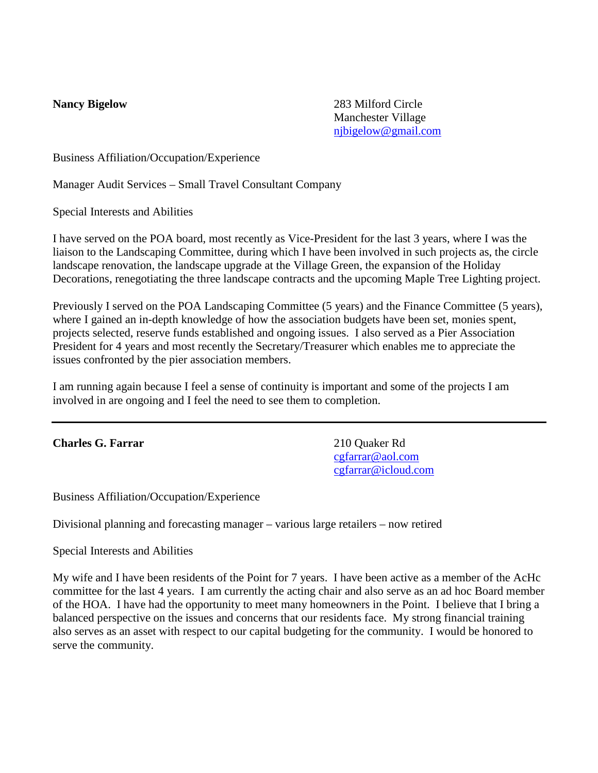**Nancy Bigelow** 283 Milford Circle Manchester Village [njbigelow@gmail.com](mailto:njbigelow@gmail.com) 

Business Affiliation/Occupation/Experience

Manager Audit Services – Small Travel Consultant Company

Special Interests and Abilities

I have served on the POA board, most recently as Vice-President for the last 3 years, where I was the liaison to the Landscaping Committee, during which I have been involved in such projects as, the circle landscape renovation, the landscape upgrade at the Village Green, the expansion of the Holiday Decorations, renegotiating the three landscape contracts and the upcoming Maple Tree Lighting project.

Previously I served on the POA Landscaping Committee (5 years) and the Finance Committee (5 years), where I gained an in-depth knowledge of how the association budgets have been set, monies spent, projects selected, reserve funds established and ongoing issues. I also served as a Pier Association President for 4 years and most recently the Secretary/Treasurer which enables me to appreciate the issues confronted by the pier association members.

I am running again because I feel a sense of continuity is important and some of the projects I am involved in are ongoing and I feel the need to see them to completion.

### **Charles G. Farrar** 210 Quaker Rd

[cgfarrar@aol.com](mailto:cgfarrar@aol.com) [cgfarrar@icloud.com](mailto:cgfarrar@icloud.com)

Business Affiliation/Occupation/Experience

Divisional planning and forecasting manager – various large retailers – now retired

Special Interests and Abilities

My wife and I have been residents of the Point for 7 years. I have been active as a member of the AcHc committee for the last 4 years. I am currently the acting chair and also serve as an ad hoc Board member of the HOA. I have had the opportunity to meet many homeowners in the Point. I believe that I bring a balanced perspective on the issues and concerns that our residents face. My strong financial training also serves as an asset with respect to our capital budgeting for the community. I would be honored to serve the community.